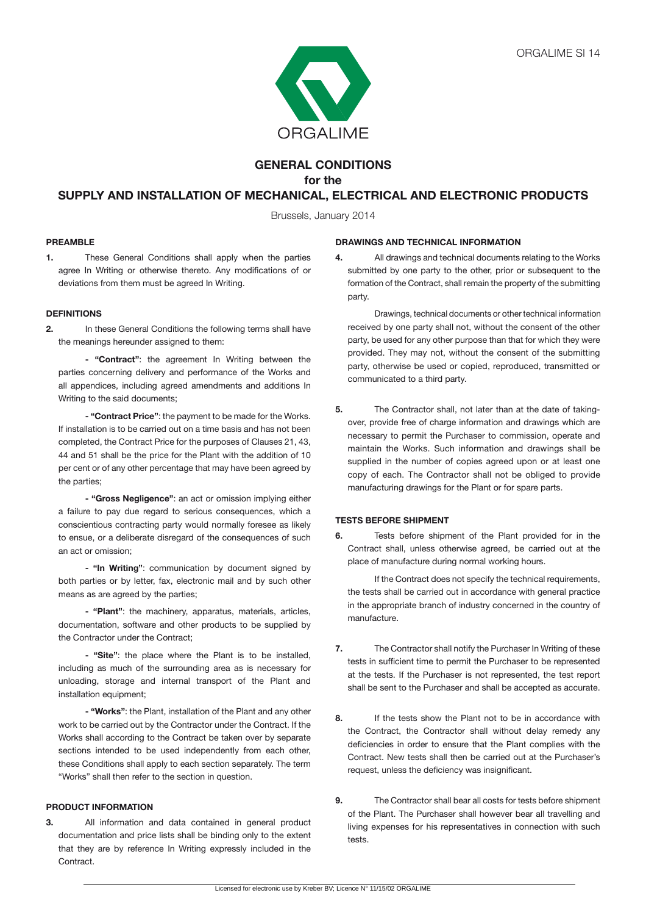

# **GENERAL CONDITIONS for the**

# **SUPPLY AND INSTALLATION OF MECHANICAL, ELECTRICAL AND ELECTRONIC PRODUCTS**

Brussels, January 2014

# **PREAMBLE**

**1.** These General Conditions shall apply when the parties agree In Writing or otherwise thereto. Any modifications of or deviations from them must be agreed In Writing.

### **DEFINITIONS**

**2.** In these General Conditions the following terms shall have the meanings hereunder assigned to them:

 **- "Contract"**: the agreement In Writing between the parties concerning delivery and performance of the Works and all appendices, including agreed amendments and additions In Writing to the said documents;

 **- "Contract Price"**: the payment to be made for the Works. If installation is to be carried out on a time basis and has not been completed, the Contract Price for the purposes of Clauses 21, 43, 44 and 51 shall be the price for the Plant with the addition of 10 per cent or of any other percentage that may have been agreed by the parties;

 **- "Gross Negligence"**: an act or omission implying either a failure to pay due regard to serious consequences, which a conscientious contracting party would normally foresee as likely to ensue, or a deliberate disregard of the consequences of such an act or omission;

**- "In Writing"**: communication by document signed by both parties or by letter, fax, electronic mail and by such other means as are agreed by the parties;

 **- "Plant"**: the machinery, apparatus, materials, articles, documentation, software and other products to be supplied by the Contractor under the Contract;

 **- "Site"**: the place where the Plant is to be installed, including as much of the surrounding area as is necessary for unloading, storage and internal transport of the Plant and installation equipment;

**- "Works"**: the Plant, installation of the Plant and any other work to be carried out by the Contractor under the Contract. If the Works shall according to the Contract be taken over by separate sections intended to be used independently from each other, these Conditions shall apply to each section separately. The term "Works" shall then refer to the section in question.

### **PRODUCT INFORMATION**

**3.** All information and data contained in general product documentation and price lists shall be binding only to the extent that they are by reference In Writing expressly included in the **Contract.** 

#### **DRAWINGS AND TECHNICAL INFORMATION**

**4.** All drawings and technical documents relating to the Works submitted by one party to the other, prior or subsequent to the formation of the Contract, shall remain the property of the submitting party.

 Drawings, technical documents or other technical information received by one party shall not, without the consent of the other party, be used for any other purpose than that for which they were provided. They may not, without the consent of the submitting party, otherwise be used or copied, reproduced, transmitted or communicated to a third party.

**5.** The Contractor shall, not later than at the date of takingover, provide free of charge information and drawings which are necessary to permit the Purchaser to commission, operate and maintain the Works. Such information and drawings shall be supplied in the number of copies agreed upon or at least one copy of each. The Contractor shall not be obliged to provide manufacturing drawings for the Plant or for spare parts.

# **TESTS BEFORE SHIPMENT**

**6.** Tests before shipment of the Plant provided for in the Contract shall, unless otherwise agreed, be carried out at the place of manufacture during normal working hours.

If the Contract does not specify the technical requirements, the tests shall be carried out in accordance with general practice in the appropriate branch of industry concerned in the country of manufacture.

- **7.** The Contractor shall notify the Purchaser In Writing of these tests in sufficient time to permit the Purchaser to be represented at the tests. If the Purchaser is not represented, the test report shall be sent to the Purchaser and shall be accepted as accurate.
- **8.** If the tests show the Plant not to be in accordance with the Contract, the Contractor shall without delay remedy any deficiencies in order to ensure that the Plant complies with the Contract. New tests shall then be carried out at the Purchaser's request, unless the deficiency was insignificant.
- **9.** The Contractor shall bear all costs for tests before shipment of the Plant. The Purchaser shall however bear all travelling and living expenses for his representatives in connection with such tests.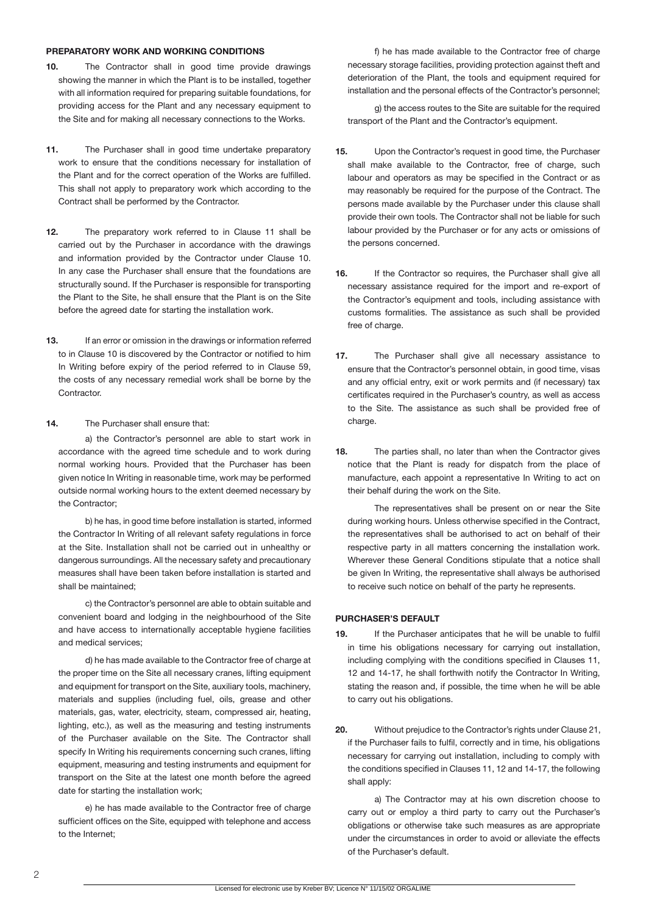#### **PREPARATORY WORK AND WORKING CONDITIONS**

- **10.** The Contractor shall in good time provide drawings showing the manner in which the Plant is to be installed, together with all information required for preparing suitable foundations, for providing access for the Plant and any necessary equipment to the Site and for making all necessary connections to the Works.
- **11.** The Purchaser shall in good time undertake preparatory work to ensure that the conditions necessary for installation of the Plant and for the correct operation of the Works are fulfilled. This shall not apply to preparatory work which according to the Contract shall be performed by the Contractor.
- **12.** The preparatory work referred to in Clause 11 shall be carried out by the Purchaser in accordance with the drawings and information provided by the Contractor under Clause 10. In any case the Purchaser shall ensure that the foundations are structurally sound. If the Purchaser is responsible for transporting the Plant to the Site, he shall ensure that the Plant is on the Site before the agreed date for starting the installation work.
- **13.** If an error or omission in the drawings or information referred to in Clause 10 is discovered by the Contractor or notified to him In Writing before expiry of the period referred to in Clause 59, the costs of any necessary remedial work shall be borne by the Contractor.
- **14.** The Purchaser shall ensure that:

a) the Contractor's personnel are able to start work in accordance with the agreed time schedule and to work during normal working hours. Provided that the Purchaser has been given notice In Writing in reasonable time, work may be performed outside normal working hours to the extent deemed necessary by the Contractor;

b) he has, in good time before installation is started, informed the Contractor In Writing of all relevant safety regulations in force at the Site. Installation shall not be carried out in unhealthy or dangerous surroundings. All the necessary safety and precautionary measures shall have been taken before installation is started and shall be maintained;

c) the Contractor's personnel are able to obtain suitable and convenient board and lodging in the neighbourhood of the Site and have access to internationally acceptable hygiene facilities and medical services;

 d) he has made available to the Contractor free of charge at the proper time on the Site all necessary cranes, lifting equipment and equipment for transport on the Site, auxiliary tools, machinery, materials and supplies (including fuel, oils, grease and other materials, gas, water, electricity, steam, compressed air, heating, lighting, etc.), as well as the measuring and testing instruments of the Purchaser available on the Site. The Contractor shall specify In Writing his requirements concerning such cranes, lifting equipment, measuring and testing instruments and equipment for transport on the Site at the latest one month before the agreed date for starting the installation work;

 e) he has made available to the Contractor free of charge sufficient offices on the Site, equipped with telephone and access to the Internet;

f) he has made available to the Contractor free of charge necessary storage facilities, providing protection against theft and deterioration of the Plant, the tools and equipment required for installation and the personal effects of the Contractor's personnel;

 g) the access routes to the Site are suitable for the required transport of the Plant and the Contractor's equipment.

- **15.** Upon the Contractor's request in good time, the Purchaser shall make available to the Contractor, free of charge, such labour and operators as may be specified in the Contract or as may reasonably be required for the purpose of the Contract. The persons made available by the Purchaser under this clause shall provide their own tools. The Contractor shall not be liable for such labour provided by the Purchaser or for any acts or omissions of the persons concerned.
- **16.** If the Contractor so requires, the Purchaser shall give all necessary assistance required for the import and re-export of the Contractor's equipment and tools, including assistance with customs formalities. The assistance as such shall be provided free of charge.
- **17.** The Purchaser shall give all necessary assistance to ensure that the Contractor's personnel obtain, in good time, visas and any official entry, exit or work permits and (if necessary) tax certificates required in the Purchaser's country, as well as access to the Site. The assistance as such shall be provided free of charge.
- **18.** The parties shall, no later than when the Contractor gives notice that the Plant is ready for dispatch from the place of manufacture, each appoint a representative In Writing to act on their behalf during the work on the Site.

 The representatives shall be present on or near the Site during working hours. Unless otherwise specified in the Contract, the representatives shall be authorised to act on behalf of their respective party in all matters concerning the installation work. Wherever these General Conditions stipulate that a notice shall be given In Writing, the representative shall always be authorised to receive such notice on behalf of the party he represents.

### **PURCHASER'S DEFAULT**

- **19.** If the Purchaser anticipates that he will be unable to fulfil in time his obligations necessary for carrying out installation, including complying with the conditions specified in Clauses 11, 12 and 14-17, he shall forthwith notify the Contractor In Writing, stating the reason and, if possible, the time when he will be able to carry out his obligations.
- **20.** Without prejudice to the Contractor's rights under Clause 21, if the Purchaser fails to fulfil, correctly and in time, his obligations necessary for carrying out installation, including to comply with the conditions specified in Clauses 11, 12 and 14-17, the following shall apply:

 a) The Contractor may at his own discretion choose to carry out or employ a third party to carry out the Purchaser's obligations or otherwise take such measures as are appropriate under the circumstances in order to avoid or alleviate the effects of the Purchaser's default.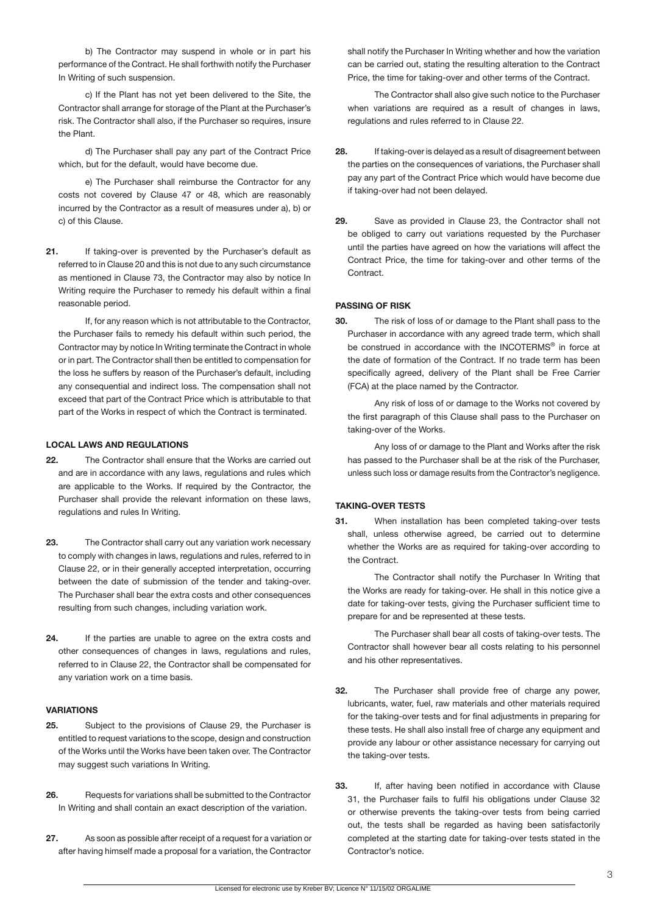b) The Contractor may suspend in whole or in part his performance of the Contract. He shall forthwith notify the Purchaser In Writing of such suspension.

c) If the Plant has not yet been delivered to the Site, the Contractor shall arrange for storage of the Plant at the Purchaser's risk. The Contractor shall also, if the Purchaser so requires, insure the Plant.

d) The Purchaser shall pay any part of the Contract Price which, but for the default, would have become due.

 e) The Purchaser shall reimburse the Contractor for any costs not covered by Clause 47 or 48, which are reasonably incurred by the Contractor as a result of measures under a), b) or c) of this Clause.

**21.** If taking-over is prevented by the Purchaser's default as referred to in Clause 20 and this is not due to any such circumstance as mentioned in Clause 73, the Contractor may also by notice In Writing require the Purchaser to remedy his default within a final reasonable period.

If, for any reason which is not attributable to the Contractor, the Purchaser fails to remedy his default within such period, the Contractor may by notice In Writing terminate the Contract in whole or in part. The Contractor shall then be entitled to compensation for the loss he suffers by reason of the Purchaser's default, including any consequential and indirect loss. The compensation shall not exceed that part of the Contract Price which is attributable to that part of the Works in respect of which the Contract is terminated.

#### **LOCAL LAWS AND REGULATIONS**

- **22.** The Contractor shall ensure that the Works are carried out and are in accordance with any laws, regulations and rules which are applicable to the Works. If required by the Contractor, the Purchaser shall provide the relevant information on these laws, regulations and rules In Writing.
- **23.** The Contractor shall carry out any variation work necessary to comply with changes in laws, regulations and rules, referred to in Clause 22, or in their generally accepted interpretation, occurring between the date of submission of the tender and taking-over. The Purchaser shall bear the extra costs and other consequences resulting from such changes, including variation work.
- **24.** If the parties are unable to agree on the extra costs and other consequences of changes in laws, regulations and rules, referred to in Clause 22, the Contractor shall be compensated for any variation work on a time basis.

### **VARIATIONS**

- **25.** Subject to the provisions of Clause 29, the Purchaser is entitled to request variations to the scope, design and construction of the Works until the Works have been taken over. The Contractor may suggest such variations In Writing.
- **26.** Requests for variations shall be submitted to the Contractor In Writing and shall contain an exact description of the variation.
- **27.** As soon as possible after receipt of a request for a variation or after having himself made a proposal for a variation, the Contractor

shall notify the Purchaser In Writing whether and how the variation can be carried out, stating the resulting alteration to the Contract Price, the time for taking-over and other terms of the Contract.

The Contractor shall also give such notice to the Purchaser when variations are required as a result of changes in laws, regulations and rules referred to in Clause 22.

- **28.** If taking-over is delayed as a result of disagreement between the parties on the consequences of variations, the Purchaser shall pay any part of the Contract Price which would have become due if taking-over had not been delayed.
- **29.** Save as provided in Clause 23, the Contractor shall not be obliged to carry out variations requested by the Purchaser until the parties have agreed on how the variations will affect the Contract Price, the time for taking-over and other terms of the **Contract.**

# **PASSING OF RISK**

**30.** The risk of loss of or damage to the Plant shall pass to the Purchaser in accordance with any agreed trade term, which shall be construed in accordance with the INCOTERMS<sup>®</sup> in force at the date of formation of the Contract. If no trade term has been specifically agreed, delivery of the Plant shall be Free Carrier (FCA) at the place named by the Contractor.

 Any risk of loss of or damage to the Works not covered by the first paragraph of this Clause shall pass to the Purchaser on taking-over of the Works.

 Any loss of or damage to the Plant and Works after the risk has passed to the Purchaser shall be at the risk of the Purchaser, unless such loss or damage results from the Contractor's negligence.

### **TAKING-OVER TESTS**

**31.** When installation has been completed taking-over tests shall, unless otherwise agreed, be carried out to determine whether the Works are as required for taking-over according to the Contract.

 The Contractor shall notify the Purchaser In Writing that the Works are ready for taking-over. He shall in this notice give a date for taking-over tests, giving the Purchaser sufficient time to prepare for and be represented at these tests.

 The Purchaser shall bear all costs of taking-over tests. The Contractor shall however bear all costs relating to his personnel and his other representatives.

- **32.** The Purchaser shall provide free of charge any power, lubricants, water, fuel, raw materials and other materials required for the taking-over tests and for final adjustments in preparing for these tests. He shall also install free of charge any equipment and provide any labour or other assistance necessary for carrying out the taking-over tests.
- **33.** If, after having been notified in accordance with Clause 31, the Purchaser fails to fulfil his obligations under Clause 32 or otherwise prevents the taking-over tests from being carried out, the tests shall be regarded as having been satisfactorily completed at the starting date for taking-over tests stated in the Contractor's notice.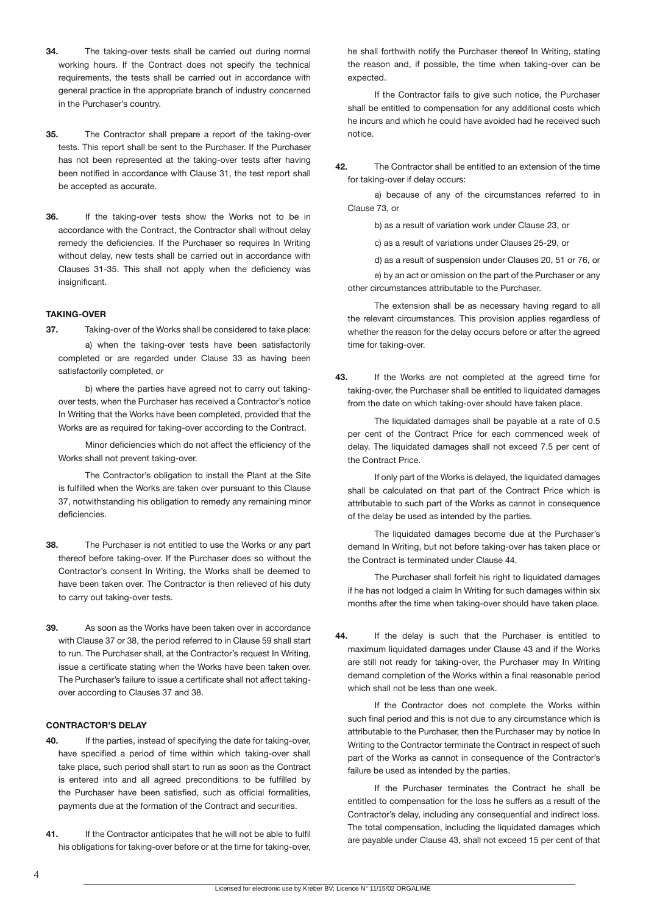- **34.** The taking-over tests shall be carried out during normal working hours. If the Contract does not specify the technical requirements, the tests shall be carried out in accordance with general practice in the appropriate branch of industry concerned in the Purchaser's country.
- **35.** The Contractor shall prepare a report of the taking-over tests. This report shall be sent to the Purchaser. If the Purchaser has not been represented at the taking-over tests after having been notified in accordance with Clause 31, the test report shall be accepted as accurate.
- **36.** If the taking-over tests show the Works not to be in accordance with the Contract, the Contractor shall without delay remedy the deficiencies. If the Purchaser so requires In Writing without delay, new tests shall be carried out in accordance with Clauses 31-35. This shall not apply when the deficiency was insignificant.

# **TAKING-OVER**

**37.** Taking-over of the Works shall be considered to take place: a) when the taking-over tests have been satisfactorily completed or are regarded under Clause 33 as having been satisfactorily completed, or

b) where the parties have agreed not to carry out takingover tests, when the Purchaser has received a Contractor's notice In Writing that the Works have been completed, provided that the Works are as required for taking-over according to the Contract.

Minor deficiencies which do not affect the efficiency of the Works shall not prevent taking-over.

 The Contractor's obligation to install the Plant at the Site is fulfilled when the Works are taken over pursuant to this Clause 37, notwithstanding his obligation to remedy any remaining minor deficiencies.

- **38.** The Purchaser is not entitled to use the Works or any part thereof before taking-over. If the Purchaser does so without the Contractor's consent In Writing, the Works shall be deemed to have been taken over. The Contractor is then relieved of his duty to carry out taking-over tests.
- **39.** As soon as the Works have been taken over in accordance with Clause 37 or 38, the period referred to in Clause 59 shall start to run. The Purchaser shall, at the Contractor's request In Writing, issue a certificate stating when the Works have been taken over. The Purchaser's failure to issue a certificate shall not affect takingover according to Clauses 37 and 38.

# **CONTRACTOR'S DELAY**

- **40.** If the parties, instead of specifying the date for taking-over, have specified a period of time within which taking-over shall take place, such period shall start to run as soon as the Contract is entered into and all agreed preconditions to be fulfilled by the Purchaser have been satisfied, such as official formalities, payments due at the formation of the Contract and securities.
- **41.** If the Contractor anticipates that he will not be able to fulfil his obligations for taking-over before or at the time for taking-over,

he shall forthwith notify the Purchaser thereof In Writing, stating the reason and, if possible, the time when taking-over can be expected.

If the Contractor fails to give such notice, the Purchaser shall be entitled to compensation for any additional costs which he incurs and which he could have avoided had he received such notice.

**42.** The Contractor shall be entitled to an extension of the time for taking-over if delay occurs:

a) because of any of the circumstances referred to in Clause 73, or

b) as a result of variation work under Clause 23, or

c) as a result of variations under Clauses 25-29, or

d) as a result of suspension under Clauses 20, 51 or 76, or

 e) by an act or omission on the part of the Purchaser or any other circumstances attributable to the Purchaser.

The extension shall be as necessary having regard to all the relevant circumstances. This provision applies regardless of whether the reason for the delay occurs before or after the agreed time for taking-over.

**43.** If the Works are not completed at the agreed time for taking-over, the Purchaser shall be entitled to liquidated damages from the date on which taking-over should have taken place.

The liquidated damages shall be payable at a rate of 0.5 per cent of the Contract Price for each commenced week of delay. The liquidated damages shall not exceed 7.5 per cent of the Contract Price.

If only part of the Works is delayed, the liquidated damages shall be calculated on that part of the Contract Price which is attributable to such part of the Works as cannot in consequence of the delay be used as intended by the parties.

The liquidated damages become due at the Purchaser's demand In Writing, but not before taking-over has taken place or the Contract is terminated under Clause 44.

 The Purchaser shall forfeit his right to liquidated damages if he has not lodged a claim In Writing for such damages within six months after the time when taking-over should have taken place.

**44.** If the delay is such that the Purchaser is entitled to maximum liquidated damages under Clause 43 and if the Works are still not ready for taking-over, the Purchaser may In Writing demand completion of the Works within a final reasonable period which shall not be less than one week.

If the Contractor does not complete the Works within such final period and this is not due to any circumstance which is attributable to the Purchaser, then the Purchaser may by notice In Writing to the Contractor terminate the Contract in respect of such part of the Works as cannot in consequence of the Contractor's failure be used as intended by the parties.

If the Purchaser terminates the Contract he shall be entitled to compensation for the loss he suffers as a result of the Contractor's delay, including any consequential and indirect loss. The total compensation, including the liquidated damages which are payable under Clause 43, shall not exceed 15 per cent of that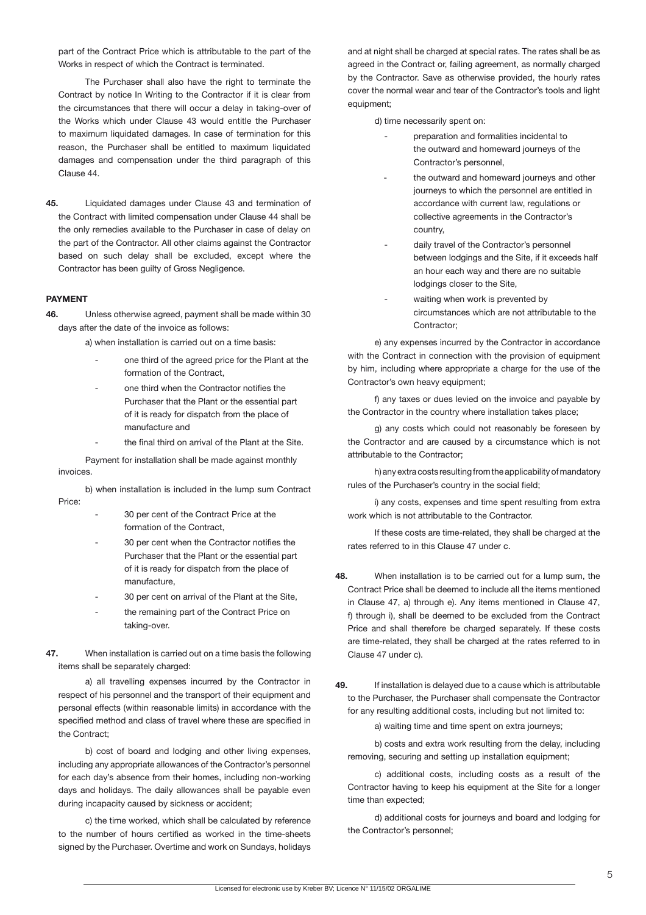part of the Contract Price which is attributable to the part of the Works in respect of which the Contract is terminated.

The Purchaser shall also have the right to terminate the Contract by notice In Writing to the Contractor if it is clear from the circumstances that there will occur a delay in taking-over of the Works which under Clause 43 would entitle the Purchaser to maximum liquidated damages. In case of termination for this reason, the Purchaser shall be entitled to maximum liquidated damages and compensation under the third paragraph of this Clause 44.

**45.** Liquidated damages under Clause 43 and termination of the Contract with limited compensation under Clause 44 shall be the only remedies available to the Purchaser in case of delay on the part of the Contractor. All other claims against the Contractor based on such delay shall be excluded, except where the Contractor has been guilty of Gross Negligence.

#### **PAYMENT**

**46.** Unless otherwise agreed, payment shall be made within 30 days after the date of the invoice as follows:

a) when installation is carried out on a time basis:

- one third of the agreed price for the Plant at the formation of the Contract,
- one third when the Contractor notifies the Purchaser that the Plant or the essential part of it is ready for dispatch from the place of manufacture and
- the final third on arrival of the Plant at the Site.

Payment for installation shall be made against monthly invoices.

b) when installation is included in the lump sum Contract Price:

- 30 per cent of the Contract Price at the formation of the Contract,
- 30 per cent when the Contractor notifies the Purchaser that the Plant or the essential part of it is ready for dispatch from the place of manufacture,
- 30 per cent on arrival of the Plant at the Site,
- the remaining part of the Contract Price on taking-over.
- **47.** When installation is carried out on a time basis the following items shall be separately charged:

 a) all travelling expenses incurred by the Contractor in respect of his personnel and the transport of their equipment and personal effects (within reasonable limits) in accordance with the specified method and class of travel where these are specified in the Contract;

b) cost of board and lodging and other living expenses, including any appropriate allowances of the Contractor's personnel for each day's absence from their homes, including non-working days and holidays. The daily allowances shall be payable even during incapacity caused by sickness or accident;

c) the time worked, which shall be calculated by reference to the number of hours certified as worked in the time-sheets signed by the Purchaser. Overtime and work on Sundays, holidays and at night shall be charged at special rates. The rates shall be as agreed in the Contract or, failing agreement, as normally charged by the Contractor. Save as otherwise provided, the hourly rates cover the normal wear and tear of the Contractor's tools and light equipment;

d) time necessarily spent on:

- preparation and formalities incidental to the outward and homeward journeys of the Contractor's personnel,
- the outward and homeward journeys and other journeys to which the personnel are entitled in accordance with current law, regulations or collective agreements in the Contractor's country,
- daily travel of the Contractor's personnel between lodgings and the Site, if it exceeds half an hour each way and there are no suitable lodgings closer to the Site,
- waiting when work is prevented by circumstances which are not attributable to the Contractor;

 e) any expenses incurred by the Contractor in accordance with the Contract in connection with the provision of equipment by him, including where appropriate a charge for the use of the Contractor's own heavy equipment;

f) any taxes or dues levied on the invoice and payable by the Contractor in the country where installation takes place;

 g) any costs which could not reasonably be foreseen by the Contractor and are caused by a circumstance which is not attributable to the Contractor;

 h) any extra costs resulting from the applicability of mandatory rules of the Purchaser's country in the social field;

i) any costs, expenses and time spent resulting from extra work which is not attributable to the Contractor.

If these costs are time-related, they shall be charged at the rates referred to in this Clause 47 under c.

- **48.** When installation is to be carried out for a lump sum, the Contract Price shall be deemed to include all the items mentioned in Clause 47, a) through e). Any items mentioned in Clause 47, f) through i), shall be deemed to be excluded from the Contract Price and shall therefore be charged separately. If these costs are time-related, they shall be charged at the rates referred to in Clause 47 under c).
- **49.** If installation is delayed due to a cause which is attributable to the Purchaser, the Purchaser shall compensate the Contractor for any resulting additional costs, including but not limited to:

a) waiting time and time spent on extra journeys;

b) costs and extra work resulting from the delay, including removing, securing and setting up installation equipment;

c) additional costs, including costs as a result of the Contractor having to keep his equipment at the Site for a longer time than expected;

 d) additional costs for journeys and board and lodging for the Contractor's personnel;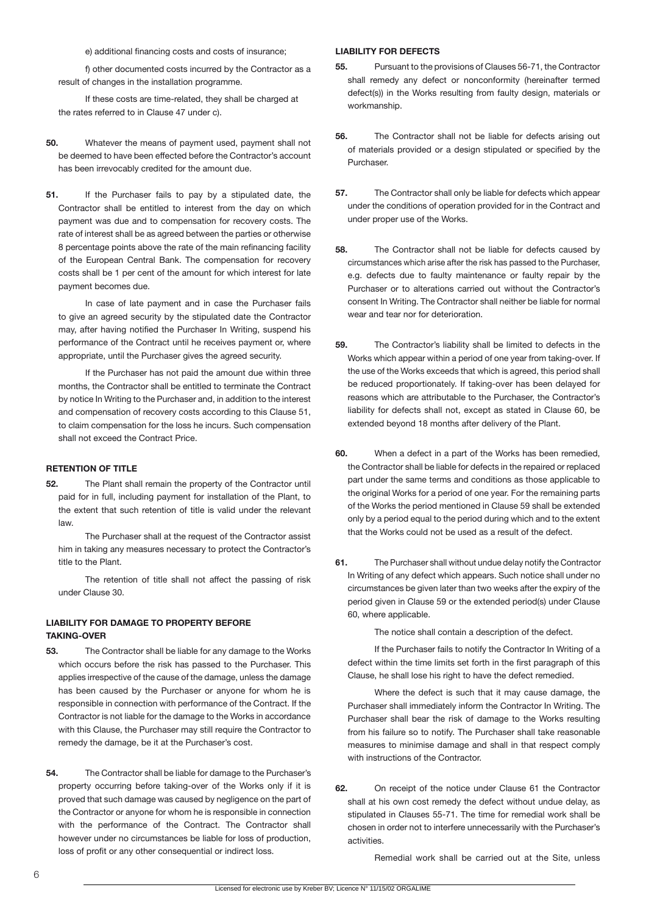e) additional financing costs and costs of insurance;

f) other documented costs incurred by the Contractor as a result of changes in the installation programme.

If these costs are time-related, they shall be charged at the rates referred to in Clause 47 under c).

- **50.** Whatever the means of payment used, payment shall not be deemed to have been effected before the Contractor's account has been irrevocably credited for the amount due.
- **51.** If the Purchaser fails to pay by a stipulated date, the Contractor shall be entitled to interest from the day on which payment was due and to compensation for recovery costs. The rate of interest shall be as agreed between the parties or otherwise 8 percentage points above the rate of the main refinancing facility of the European Central Bank. The compensation for recovery costs shall be 1 per cent of the amount for which interest for late payment becomes due.

In case of late payment and in case the Purchaser fails to give an agreed security by the stipulated date the Contractor may, after having notified the Purchaser In Writing, suspend his performance of the Contract until he receives payment or, where appropriate, until the Purchaser gives the agreed security.

If the Purchaser has not paid the amount due within three months, the Contractor shall be entitled to terminate the Contract by notice In Writing to the Purchaser and, in addition to the interest and compensation of recovery costs according to this Clause 51, to claim compensation for the loss he incurs. Such compensation shall not exceed the Contract Price.

# **RETENTION OF TITLE**

**52.** The Plant shall remain the property of the Contractor until paid for in full, including payment for installation of the Plant, to the extent that such retention of title is valid under the relevant law.

The Purchaser shall at the request of the Contractor assist him in taking any measures necessary to protect the Contractor's title to the Plant.

 The retention of title shall not affect the passing of risk under Clause 30.

# **LIABILITY FOR DAMAGE TO PROPERTY BEFORE TAKING-OVER**

- **53.** The Contractor shall be liable for any damage to the Works which occurs before the risk has passed to the Purchaser. This applies irrespective of the cause of the damage, unless the damage has been caused by the Purchaser or anyone for whom he is responsible in connection with performance of the Contract. If the Contractor is not liable for the damage to the Works in accordance with this Clause, the Purchaser may still require the Contractor to remedy the damage, be it at the Purchaser's cost.
- **54.** The Contractor shall be liable for damage to the Purchaser's property occurring before taking-over of the Works only if it is proved that such damage was caused by negligence on the part of the Contractor or anyone for whom he is responsible in connection with the performance of the Contract. The Contractor shall however under no circumstances be liable for loss of production, loss of profit or any other consequential or indirect loss.

#### **LIABILITY FOR DEFECTS**

- **55.** Pursuant to the provisions of Clauses 56-71, the Contractor shall remedy any defect or nonconformity (hereinafter termed defect(s)) in the Works resulting from faulty design, materials or workmanship.
- **56.** The Contractor shall not be liable for defects arising out of materials provided or a design stipulated or specified by the Purchaser.
- **57.** The Contractor shall only be liable for defects which appear under the conditions of operation provided for in the Contract and under proper use of the Works.
- **58.** The Contractor shall not be liable for defects caused by circumstances which arise after the risk has passed to the Purchaser, e.g. defects due to faulty maintenance or faulty repair by the Purchaser or to alterations carried out without the Contractor's consent In Writing. The Contractor shall neither be liable for normal wear and tear nor for deterioration.
- **59.** The Contractor's liability shall be limited to defects in the Works which appear within a period of one year from taking-over. If the use of the Works exceeds that which is agreed, this period shall be reduced proportionately. If taking-over has been delayed for reasons which are attributable to the Purchaser, the Contractor's liability for defects shall not, except as stated in Clause 60, be extended beyond 18 months after delivery of the Plant.
- **60.** When a defect in a part of the Works has been remedied, the Contractor shall be liable for defects in the repaired or replaced part under the same terms and conditions as those applicable to the original Works for a period of one year. For the remaining parts of the Works the period mentioned in Clause 59 shall be extended only by a period equal to the period during which and to the extent that the Works could not be used as a result of the defect.
- **61.** The Purchaser shall without undue delay notify the Contractor In Writing of any defect which appears. Such notice shall under no circumstances be given later than two weeks after the expiry of the period given in Clause 59 or the extended period(s) under Clause 60, where applicable.

The notice shall contain a description of the defect.

If the Purchaser fails to notify the Contractor In Writing of a defect within the time limits set forth in the first paragraph of this Clause, he shall lose his right to have the defect remedied.

 Where the defect is such that it may cause damage, the Purchaser shall immediately inform the Contractor In Writing. The Purchaser shall bear the risk of damage to the Works resulting from his failure so to notify. The Purchaser shall take reasonable measures to minimise damage and shall in that respect comply with instructions of the Contractor.

**62.** On receipt of the notice under Clause 61 the Contractor shall at his own cost remedy the defect without undue delay, as stipulated in Clauses 55-71. The time for remedial work shall be chosen in order not to interfere unnecessarily with the Purchaser's activities.

Remedial work shall be carried out at the Site, unless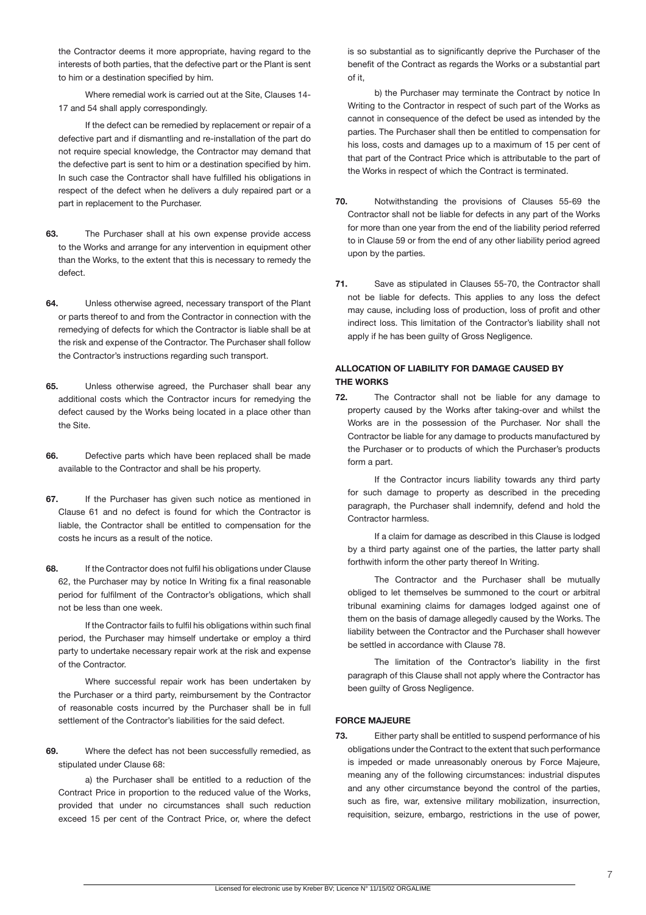the Contractor deems it more appropriate, having regard to the interests of both parties, that the defective part or the Plant is sent to him or a destination specified by him.

 Where remedial work is carried out at the Site, Clauses 14- 17 and 54 shall apply correspondingly.

If the defect can be remedied by replacement or repair of a defective part and if dismantling and re-installation of the part do not require special knowledge, the Contractor may demand that the defective part is sent to him or a destination specified by him. In such case the Contractor shall have fulfilled his obligations in respect of the defect when he delivers a duly repaired part or a part in replacement to the Purchaser.

- **63.** The Purchaser shall at his own expense provide access to the Works and arrange for any intervention in equipment other than the Works, to the extent that this is necessary to remedy the defect.
- **64.** Unless otherwise agreed, necessary transport of the Plant or parts thereof to and from the Contractor in connection with the remedying of defects for which the Contractor is liable shall be at the risk and expense of the Contractor. The Purchaser shall follow the Contractor's instructions regarding such transport.
- **65.** Unless otherwise agreed, the Purchaser shall bear any additional costs which the Contractor incurs for remedying the defect caused by the Works being located in a place other than the Site.
- **66.** Defective parts which have been replaced shall be made available to the Contractor and shall be his property.
- **67.** If the Purchaser has given such notice as mentioned in Clause 61 and no defect is found for which the Contractor is liable, the Contractor shall be entitled to compensation for the costs he incurs as a result of the notice.
- **68.** If the Contractor does not fulfil his obligations under Clause 62, the Purchaser may by notice In Writing fix a final reasonable period for fulfilment of the Contractor's obligations, which shall not be less than one week.

If the Contractor fails to fulfil his obligations within such final period, the Purchaser may himself undertake or employ a third party to undertake necessary repair work at the risk and expense of the Contractor.

 Where successful repair work has been undertaken by the Purchaser or a third party, reimbursement by the Contractor of reasonable costs incurred by the Purchaser shall be in full settlement of the Contractor's liabilities for the said defect.

**69.** Where the defect has not been successfully remedied, as stipulated under Clause 68:

a) the Purchaser shall be entitled to a reduction of the Contract Price in proportion to the reduced value of the Works, provided that under no circumstances shall such reduction exceed 15 per cent of the Contract Price, or, where the defect

is so substantial as to significantly deprive the Purchaser of the benefit of the Contract as regards the Works or a substantial part of it,

b) the Purchaser may terminate the Contract by notice In Writing to the Contractor in respect of such part of the Works as cannot in consequence of the defect be used as intended by the parties. The Purchaser shall then be entitled to compensation for his loss, costs and damages up to a maximum of 15 per cent of that part of the Contract Price which is attributable to the part of the Works in respect of which the Contract is terminated.

- **70.** Notwithstanding the provisions of Clauses 55-69 the Contractor shall not be liable for defects in any part of the Works for more than one year from the end of the liability period referred to in Clause 59 or from the end of any other liability period agreed upon by the parties.
- **71.** Save as stipulated in Clauses 55-70, the Contractor shall not be liable for defects. This applies to any loss the defect may cause, including loss of production, loss of profit and other indirect loss. This limitation of the Contractor's liability shall not apply if he has been guilty of Gross Negligence.

# **ALLOCATION OF LIABILITY FOR DAMAGE CAUSED BY THE WORKS**

**72.** The Contractor shall not be liable for any damage to property caused by the Works after taking-over and whilst the Works are in the possession of the Purchaser. Nor shall the Contractor be liable for any damage to products manufactured by the Purchaser or to products of which the Purchaser's products form a part.

If the Contractor incurs liability towards any third party for such damage to property as described in the preceding paragraph, the Purchaser shall indemnify, defend and hold the Contractor harmless.

If a claim for damage as described in this Clause is lodged by a third party against one of the parties, the latter party shall forthwith inform the other party thereof In Writing.

 The Contractor and the Purchaser shall be mutually obliged to let themselves be summoned to the court or arbitral tribunal examining claims for damages lodged against one of them on the basis of damage allegedly caused by the Works. The liability between the Contractor and the Purchaser shall however be settled in accordance with Clause 78.

 The limitation of the Contractor's liability in the first paragraph of this Clause shall not apply where the Contractor has been guilty of Gross Negligence.

### **FORCE MAJEURE**

**73.** Either party shall be entitled to suspend performance of his obligations under the Contract to the extent that such performance is impeded or made unreasonably onerous by Force Majeure, meaning any of the following circumstances: industrial disputes and any other circumstance beyond the control of the parties, such as fire, war, extensive military mobilization, insurrection, requisition, seizure, embargo, restrictions in the use of power,